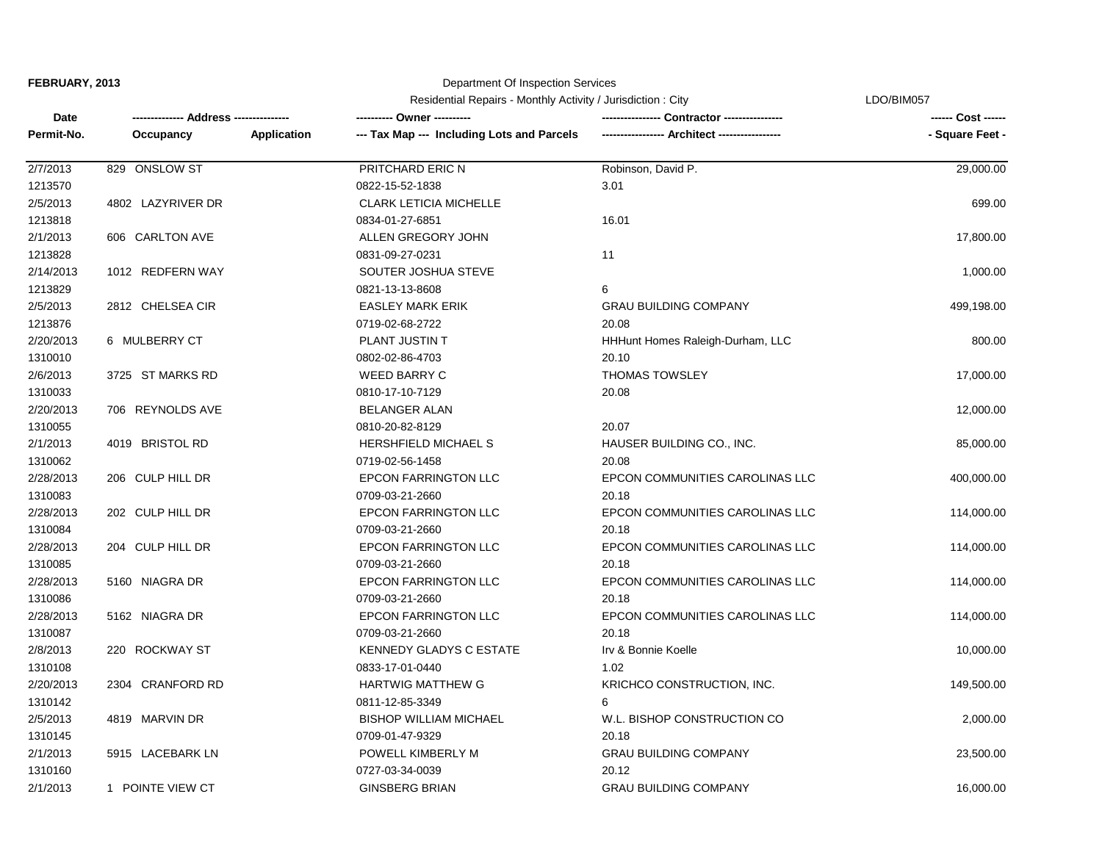# Department Of Inspection Services

|            |                   | Residential Repairs - Monthly Activity / Jurisdiction: City | LDO/BIM057                                 |                                  |                 |
|------------|-------------------|-------------------------------------------------------------|--------------------------------------------|----------------------------------|-----------------|
| Date       | -- Address -----  |                                                             |                                            |                                  |                 |
| Permit-No. | Occupancy         | Application                                                 | --- Tax Map --- Including Lots and Parcels |                                  | - Square Feet - |
| 2/7/2013   | 829 ONSLOW ST     |                                                             | PRITCHARD ERIC N                           | Robinson, David P.               | 29,000.00       |
| 1213570    |                   |                                                             | 0822-15-52-1838                            | 3.01                             |                 |
| 2/5/2013   | 4802 LAZYRIVER DR |                                                             | <b>CLARK LETICIA MICHELLE</b>              |                                  | 699.00          |
| 1213818    |                   |                                                             | 0834-01-27-6851                            | 16.01                            |                 |
| 2/1/2013   | 606 CARLTON AVE   |                                                             | ALLEN GREGORY JOHN                         |                                  | 17,800.00       |
| 1213828    |                   |                                                             | 0831-09-27-0231                            | 11                               |                 |
| 2/14/2013  | 1012 REDFERN WAY  |                                                             | SOUTER JOSHUA STEVE                        |                                  | 1,000.00        |
| 1213829    |                   |                                                             | 0821-13-13-8608                            | 6                                |                 |
| 2/5/2013   | 2812 CHELSEA CIR  |                                                             | <b>EASLEY MARK ERIK</b>                    | <b>GRAU BUILDING COMPANY</b>     | 499,198.00      |
| 1213876    |                   |                                                             | 0719-02-68-2722                            | 20.08                            |                 |
| 2/20/2013  | 6 MULBERRY CT     |                                                             | PLANT JUSTIN T                             | HHHunt Homes Raleigh-Durham, LLC | 800.00          |
| 1310010    |                   |                                                             | 0802-02-86-4703                            | 20.10                            |                 |
| 2/6/2013   | 3725 ST MARKS RD  |                                                             | <b>WEED BARRY C</b>                        | <b>THOMAS TOWSLEY</b>            | 17,000.00       |
| 1310033    |                   |                                                             | 0810-17-10-7129                            | 20.08                            |                 |
| 2/20/2013  | 706 REYNOLDS AVE  |                                                             | <b>BELANGER ALAN</b>                       |                                  | 12,000.00       |
| 1310055    |                   |                                                             | 0810-20-82-8129                            | 20.07                            |                 |
| 2/1/2013   | 4019 BRISTOL RD   |                                                             | <b>HERSHFIELD MICHAEL S</b>                | HAUSER BUILDING CO., INC.        | 85,000.00       |
| 1310062    |                   |                                                             | 0719-02-56-1458                            | 20.08                            |                 |
| 2/28/2013  | 206 CULP HILL DR  |                                                             | <b>EPCON FARRINGTON LLC</b>                | EPCON COMMUNITIES CAROLINAS LLC  | 400,000.00      |
| 1310083    |                   |                                                             | 0709-03-21-2660                            | 20.18                            |                 |
| 2/28/2013  | 202 CULP HILL DR  |                                                             | <b>EPCON FARRINGTON LLC</b>                | EPCON COMMUNITIES CAROLINAS LLC  | 114,000.00      |
| 1310084    |                   |                                                             | 0709-03-21-2660                            | 20.18                            |                 |
| 2/28/2013  | 204 CULP HILL DR  |                                                             | <b>EPCON FARRINGTON LLC</b>                | EPCON COMMUNITIES CAROLINAS LLC  | 114,000.00      |
| 1310085    |                   |                                                             | 0709-03-21-2660                            | 20.18                            |                 |
| 2/28/2013  | 5160 NIAGRA DR    |                                                             | EPCON FARRINGTON LLC                       | EPCON COMMUNITIES CAROLINAS LLC  | 114,000.00      |
| 1310086    |                   |                                                             | 0709-03-21-2660                            | 20.18                            |                 |
| 2/28/2013  | 5162 NIAGRA DR    |                                                             | <b>EPCON FARRINGTON LLC</b>                | EPCON COMMUNITIES CAROLINAS LLC  | 114,000.00      |
| 1310087    |                   |                                                             | 0709-03-21-2660                            | 20.18                            |                 |
| 2/8/2013   | 220 ROCKWAY ST    |                                                             | <b>KENNEDY GLADYS C ESTATE</b>             | Irv & Bonnie Koelle              | 10,000.00       |
| 1310108    |                   |                                                             | 0833-17-01-0440                            | 1.02                             |                 |
| 2/20/2013  | 2304 CRANFORD RD  |                                                             | <b>HARTWIG MATTHEW G</b>                   | KRICHCO CONSTRUCTION, INC.       | 149,500.00      |
| 1310142    |                   |                                                             | 0811-12-85-3349                            | 6                                |                 |
| 2/5/2013   | 4819 MARVIN DR    |                                                             | <b>BISHOP WILLIAM MICHAEL</b>              | W.L. BISHOP CONSTRUCTION CO      | 2,000.00        |
| 1310145    |                   |                                                             | 0709-01-47-9329                            | 20.18                            |                 |
| 2/1/2013   | 5915 LACEBARK LN  |                                                             | POWELL KIMBERLY M                          | <b>GRAU BUILDING COMPANY</b>     | 23,500.00       |
| 1310160    |                   |                                                             | 0727-03-34-0039                            | 20.12                            |                 |
| 2/1/2013   | 1 POINTE VIEW CT  |                                                             | <b>GINSBERG BRIAN</b>                      | <b>GRAU BUILDING COMPANY</b>     | 16,000.00       |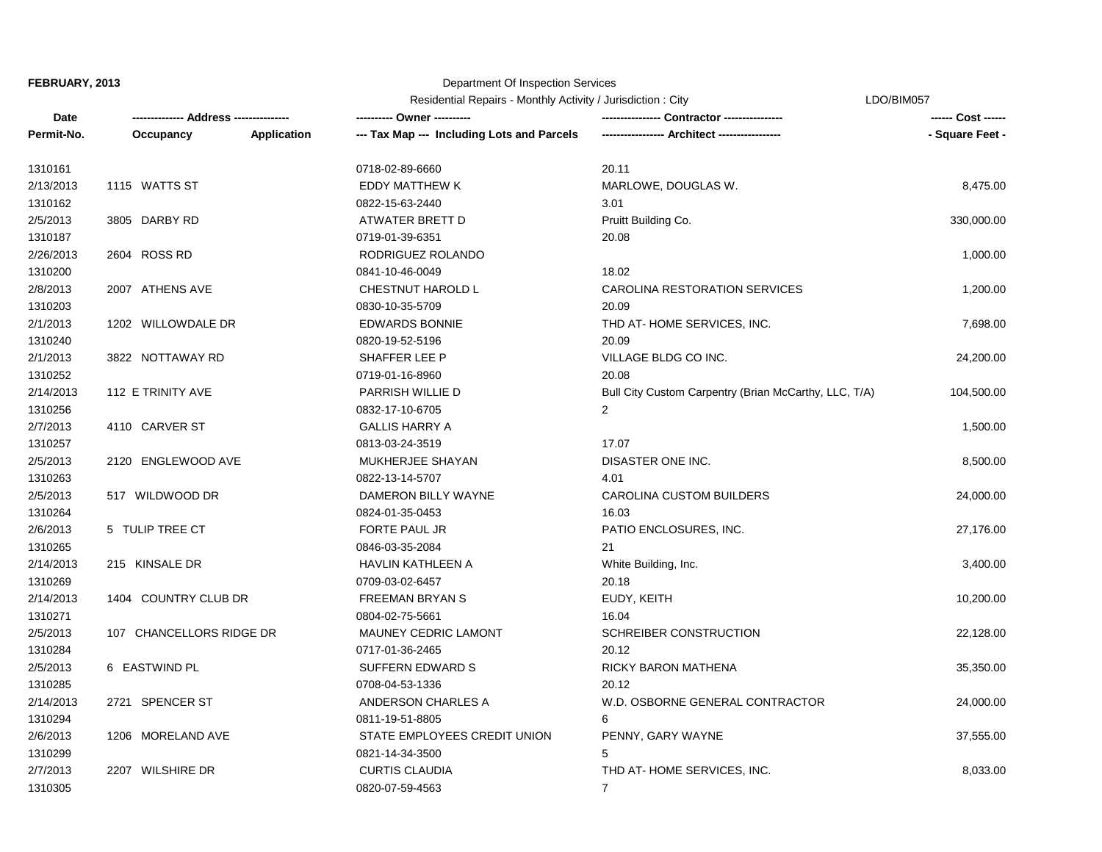1310271

1310294

1310299

#### Department Of Inspection Services

Residential Repairs - Monthly Activity / Jurisdiction : City

|            |                                      | Residential Repairs - Monthly Activity / Jurisdiction : City | LDO/BIM057                                 |                                                       |                    |
|------------|--------------------------------------|--------------------------------------------------------------|--------------------------------------------|-------------------------------------------------------|--------------------|
| Date       | ------------- Address -------------- |                                                              | ---------- Owner ----------                |                                                       | ------ Cost ------ |
| Permit-No. | Occupancy                            | Application                                                  | --- Tax Map --- Including Lots and Parcels | ----------------- Architect -----------------         | - Square Feet -    |
| 1310161    |                                      |                                                              | 0718-02-89-6660                            | 20.11                                                 |                    |
| 2/13/2013  | 1115 WATTS ST                        |                                                              | <b>EDDY MATTHEW K</b>                      | MARLOWE, DOUGLAS W.                                   | 8,475.00           |
| 1310162    |                                      |                                                              | 0822-15-63-2440                            | 3.01                                                  |                    |
| 2/5/2013   | 3805 DARBY RD                        |                                                              | ATWATER BRETT D                            | Pruitt Building Co.                                   | 330,000.00         |
| 1310187    |                                      |                                                              | 0719-01-39-6351                            | 20.08                                                 |                    |
| 2/26/2013  | 2604 ROSS RD                         |                                                              | RODRIGUEZ ROLANDO                          |                                                       | 1,000.00           |
| 1310200    |                                      |                                                              | 0841-10-46-0049                            | 18.02                                                 |                    |
| 2/8/2013   | 2007 ATHENS AVE                      |                                                              | CHESTNUT HAROLD L                          | CAROLINA RESTORATION SERVICES                         | 1,200.00           |
| 1310203    |                                      |                                                              | 0830-10-35-5709                            | 20.09                                                 |                    |
| 2/1/2013   | 1202 WILLOWDALE DR                   |                                                              | <b>EDWARDS BONNIE</b>                      | THD AT-HOME SERVICES, INC.                            | 7,698.00           |
| 1310240    |                                      |                                                              | 0820-19-52-5196                            | 20.09                                                 |                    |
| 2/1/2013   | 3822 NOTTAWAY RD                     |                                                              | SHAFFER LEE P                              | VILLAGE BLDG CO INC.                                  | 24,200.00          |
| 1310252    |                                      |                                                              | 0719-01-16-8960                            | 20.08                                                 |                    |
| 2/14/2013  | 112 E TRINITY AVE                    |                                                              | PARRISH WILLIE D                           | Bull City Custom Carpentry (Brian McCarthy, LLC, T/A) | 104,500.00         |
| 1310256    |                                      |                                                              | 0832-17-10-6705                            | $\overline{2}$                                        |                    |
| 2/7/2013   | 4110 CARVER ST                       |                                                              | <b>GALLIS HARRY A</b>                      |                                                       | 1,500.00           |
| 1310257    |                                      |                                                              | 0813-03-24-3519                            | 17.07                                                 |                    |
| 2/5/2013   | 2120 ENGLEWOOD AVE                   |                                                              | MUKHERJEE SHAYAN                           | DISASTER ONE INC.                                     | 8,500.00           |
| 1310263    |                                      |                                                              | 0822-13-14-5707                            | 4.01                                                  |                    |
| 2/5/2013   | 517 WILDWOOD DR                      |                                                              | DAMERON BILLY WAYNE                        | <b>CAROLINA CUSTOM BUILDERS</b>                       | 24,000.00          |
| 1310264    |                                      |                                                              | 0824-01-35-0453                            | 16.03                                                 |                    |
| 2/6/2013   | 5 TULIP TREE CT                      |                                                              | <b>FORTE PAUL JR</b>                       | PATIO ENCLOSURES, INC.                                | 27,176.00          |
| 1310265    |                                      |                                                              | 0846-03-35-2084                            | 21                                                    |                    |
| 2/14/2013  | 215 KINSALE DR                       |                                                              | <b>HAVLIN KATHLEEN A</b>                   | White Building, Inc.                                  | 3,400.00           |
| 1310269    |                                      |                                                              | 0709-03-02-6457                            | 20.18                                                 |                    |

| 1310264   |                            | 0824-01-35-0453              | 16.03                           |           |
|-----------|----------------------------|------------------------------|---------------------------------|-----------|
| 2/6/2013  | 5 TULIP TREE CT            | FORTE PAUL JR                | PATIO ENCLOSURES, INC.          | 27,176.00 |
| 1310265   |                            | 0846-03-35-2084              | 21                              |           |
| 2/14/2013 | 215 KINSALE DR             | HAVLIN KATHLEEN A            | White Building, Inc.            | 3,400.00  |
| 1310269   |                            | 0709-03-02-6457              | 20.18                           |           |
| 2/14/2013 | 1404 COUNTRY CLUB DR       | <b>FREEMAN BRYAN S</b>       | EUDY, KEITH                     | 10,200.00 |
| 1310271   |                            | 0804-02-75-5661              | 16.04                           |           |
| 2/5/2013  | 107 CHANCELLORS RIDGE DR   | <b>MAUNEY CEDRIC LAMONT</b>  | SCHREIBER CONSTRUCTION          | 22,128.00 |
| 1310284   |                            | 0717-01-36-2465              | 20.12                           |           |
| 2/5/2013  | 6 EASTWIND PL              | SUFFERN EDWARD S             | RICKY BARON MATHENA             | 35,350.00 |
| 1310285   |                            | 0708-04-53-1336              | 20.12                           |           |
| 2/14/2013 | SPENCER ST<br>2721         | ANDERSON CHARLES A           | W.D. OSBORNE GENERAL CONTRACTOR | 24,000.00 |
| 1310294   |                            | 0811-19-51-8805              | 6                               |           |
| 2/6/2013  | 1206 MORELAND AVE          | STATE EMPLOYEES CREDIT UNION | PENNY, GARY WAYNE               | 37,555.00 |
| 1310299   |                            | 0821-14-34-3500              | 5                               |           |
| 2/7/2013  | <b>WILSHIRE DR</b><br>2207 | <b>CURTIS CLAUDIA</b>        | THD AT-HOME SERVICES, INC.      | 8,033.00  |
| 1310305   |                            | 0820-07-59-4563              |                                 |           |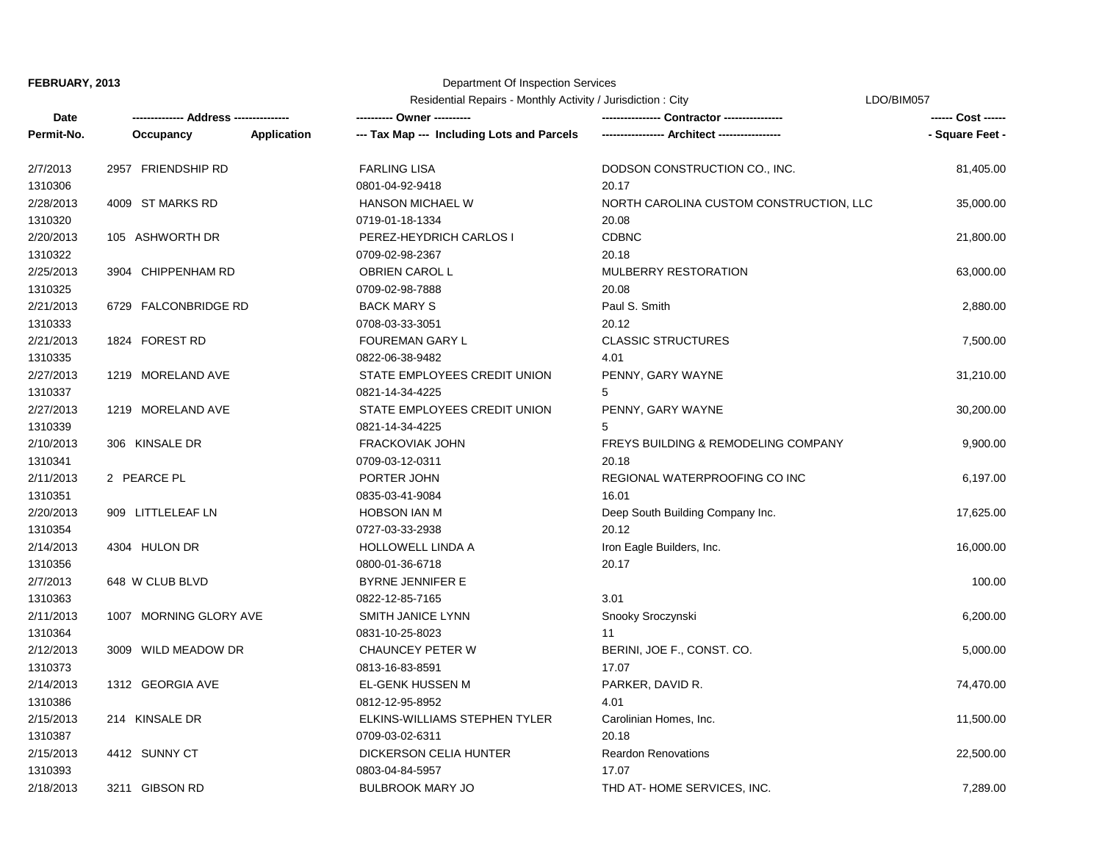# Department Of Inspection Services

Residential Repairs - Monthly Activity / Jurisdiction : City

LDO/BIM057

| Date       | ------------- Address -------------- |                    | ---------- Owner ----------                |                                                | ------ Cost ------ |
|------------|--------------------------------------|--------------------|--------------------------------------------|------------------------------------------------|--------------------|
| Permit-No. | Occupancy                            | <b>Application</b> | --- Tax Map --- Including Lots and Parcels |                                                | - Square Feet -    |
| 2/7/2013   | 2957 FRIENDSHIP RD                   |                    | <b>FARLING LISA</b>                        | DODSON CONSTRUCTION CO., INC.                  | 81,405.00          |
| 1310306    |                                      |                    | 0801-04-92-9418                            | 20.17                                          |                    |
| 2/28/2013  | 4009 ST MARKS RD                     |                    | <b>HANSON MICHAEL W</b>                    | NORTH CAROLINA CUSTOM CONSTRUCTION, LLC        | 35,000.00          |
| 1310320    |                                      |                    | 0719-01-18-1334                            | 20.08                                          |                    |
| 2/20/2013  | 105 ASHWORTH DR                      |                    | PEREZ-HEYDRICH CARLOS I                    | <b>CDBNC</b>                                   | 21,800.00          |
| 1310322    |                                      |                    | 0709-02-98-2367                            | 20.18                                          |                    |
| 2/25/2013  | 3904 CHIPPENHAM RD                   |                    | OBRIEN CAROL L                             | MULBERRY RESTORATION                           | 63,000.00          |
| 1310325    |                                      |                    | 0709-02-98-7888                            | 20.08                                          |                    |
| 2/21/2013  | 6729 FALCONBRIDGE RD                 |                    | <b>BACK MARY S</b>                         | Paul S. Smith                                  | 2,880.00           |
| 1310333    |                                      |                    | 0708-03-33-3051                            | 20.12                                          |                    |
| 2/21/2013  | 1824 FOREST RD                       |                    | FOUREMAN GARY L                            | <b>CLASSIC STRUCTURES</b>                      | 7,500.00           |
| 1310335    |                                      |                    | 0822-06-38-9482                            | 4.01                                           |                    |
| 2/27/2013  | 1219 MORELAND AVE                    |                    | STATE EMPLOYEES CREDIT UNION               | PENNY, GARY WAYNE                              | 31,210.00          |
| 1310337    |                                      |                    | 0821-14-34-4225                            | 5                                              |                    |
| 2/27/2013  | 1219 MORELAND AVE                    |                    | STATE EMPLOYEES CREDIT UNION               | PENNY, GARY WAYNE                              | 30,200.00          |
| 1310339    |                                      |                    | 0821-14-34-4225                            | 5                                              |                    |
| 2/10/2013  | 306 KINSALE DR                       |                    | <b>FRACKOVIAK JOHN</b>                     | <b>FREYS BUILDING &amp; REMODELING COMPANY</b> | 9,900.00           |
| 1310341    |                                      |                    | 0709-03-12-0311                            | 20.18                                          |                    |
| 2/11/2013  | 2 PEARCE PL                          |                    | PORTER JOHN                                | REGIONAL WATERPROOFING CO INC                  | 6,197.00           |
| 1310351    |                                      |                    | 0835-03-41-9084                            | 16.01                                          |                    |
| 2/20/2013  | 909 LITTLELEAF LN                    |                    | <b>HOBSON IAN M</b>                        | Deep South Building Company Inc.               | 17,625.00          |
| 1310354    |                                      |                    | 0727-03-33-2938                            | 20.12                                          |                    |
| 2/14/2013  | 4304 HULON DR                        |                    | HOLLOWELL LINDA A                          | Iron Eagle Builders, Inc.                      | 16,000.00          |
| 1310356    |                                      |                    | 0800-01-36-6718                            | 20.17                                          |                    |
| 2/7/2013   | 648 W CLUB BLVD                      |                    | <b>BYRNE JENNIFER E</b>                    |                                                | 100.00             |
| 1310363    |                                      |                    | 0822-12-85-7165                            | 3.01                                           |                    |
| 2/11/2013  | 1007 MORNING GLORY AVE               |                    | <b>SMITH JANICE LYNN</b>                   | Snooky Sroczynski                              | 6,200.00           |
| 1310364    |                                      |                    | 0831-10-25-8023                            | 11                                             |                    |
| 2/12/2013  | 3009 WILD MEADOW DR                  |                    | CHAUNCEY PETER W                           | BERINI, JOE F., CONST. CO.                     | 5,000.00           |
| 1310373    |                                      |                    | 0813-16-83-8591                            | 17.07                                          |                    |
| 2/14/2013  | 1312 GEORGIA AVE                     |                    | EL-GENK HUSSEN M                           | PARKER, DAVID R.                               | 74,470.00          |
| 1310386    |                                      |                    | 0812-12-95-8952                            | 4.01                                           |                    |
| 2/15/2013  | 214 KINSALE DR                       |                    | ELKINS-WILLIAMS STEPHEN TYLER              | Carolinian Homes, Inc.                         | 11,500.00          |
| 1310387    |                                      |                    | 0709-03-02-6311                            | 20.18                                          |                    |
| 2/15/2013  | 4412 SUNNY CT                        |                    | DICKERSON CELIA HUNTER                     | <b>Reardon Renovations</b>                     | 22,500.00          |
| 1310393    |                                      |                    | 0803-04-84-5957                            | 17.07                                          |                    |
| 2/18/2013  | 3211 GIBSON RD                       |                    | <b>BULBROOK MARY JO</b>                    | THD AT-HOME SERVICES, INC.                     | 7,289.00           |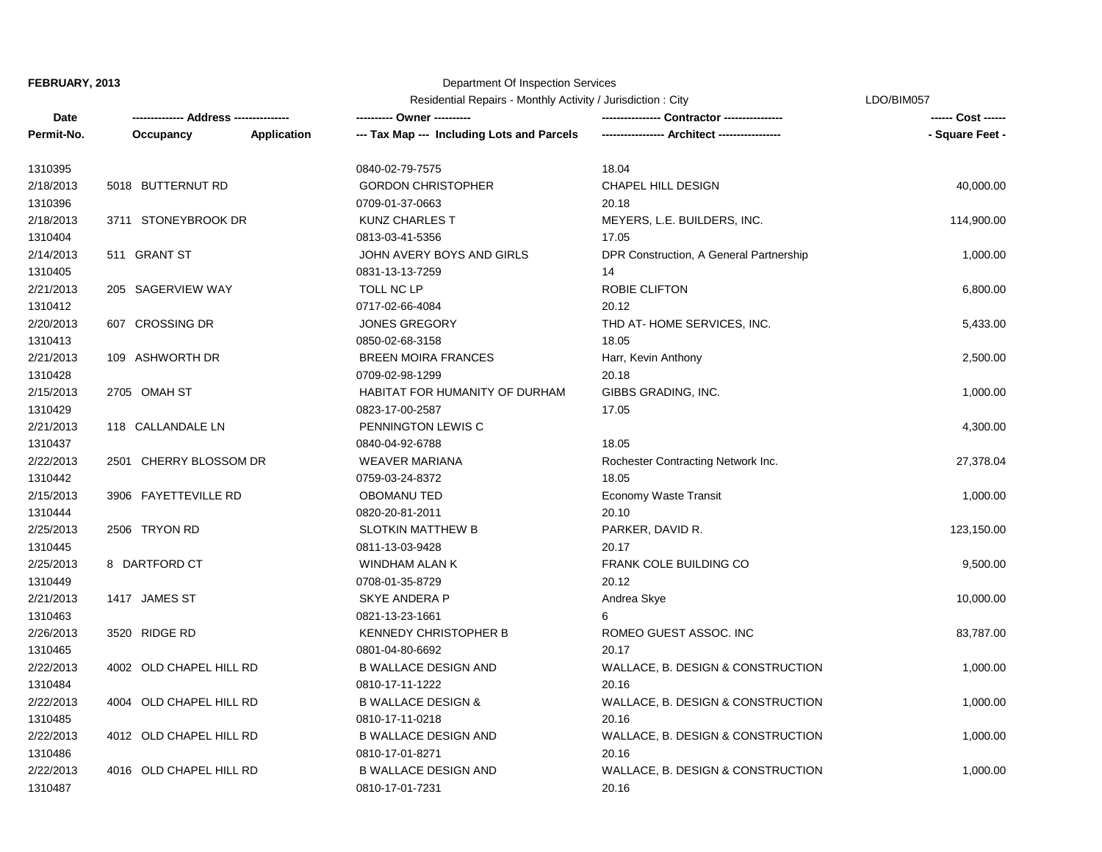# Department Of Inspection Services

Residential Repairs - Monthly Activity / Jurisdiction : City

LDO/BIM057

| Date       |                         |             | ---------- Owner ----------                | Contractor ----------------             | ------ Cost ------ |
|------------|-------------------------|-------------|--------------------------------------------|-----------------------------------------|--------------------|
| Permit-No. | Occupancy               | Application | --- Tax Map --- Including Lots and Parcels |                                         | - Square Feet -    |
| 1310395    |                         |             | 0840-02-79-7575                            | 18.04                                   |                    |
| 2/18/2013  | 5018 BUTTERNUT RD       |             | <b>GORDON CHRISTOPHER</b>                  | CHAPEL HILL DESIGN                      | 40,000.00          |
| 1310396    |                         |             | 0709-01-37-0663                            | 20.18                                   |                    |
| 2/18/2013  | 3711 STONEYBROOK DR     |             | <b>KUNZ CHARLES T</b>                      | MEYERS, L.E. BUILDERS, INC.             | 114,900.00         |
| 1310404    |                         |             | 0813-03-41-5356                            | 17.05                                   |                    |
| 2/14/2013  | 511 GRANT ST            |             | JOHN AVERY BOYS AND GIRLS                  | DPR Construction, A General Partnership | 1,000.00           |
| 1310405    |                         |             | 0831-13-13-7259                            | 14                                      |                    |
| 2/21/2013  | 205 SAGERVIEW WAY       |             | TOLL NC LP                                 | ROBIE CLIFTON                           | 6,800.00           |
| 1310412    |                         |             | 0717-02-66-4084                            | 20.12                                   |                    |
| 2/20/2013  | 607 CROSSING DR         |             | <b>JONES GREGORY</b>                       | THD AT-HOME SERVICES, INC.              | 5,433.00           |
| 1310413    |                         |             | 0850-02-68-3158                            | 18.05                                   |                    |
| 2/21/2013  | 109 ASHWORTH DR         |             | <b>BREEN MOIRA FRANCES</b>                 | Harr, Kevin Anthony                     | 2,500.00           |
| 1310428    |                         |             | 0709-02-98-1299                            | 20.18                                   |                    |
| 2/15/2013  | 2705 OMAH ST            |             | HABITAT FOR HUMANITY OF DURHAM             | GIBBS GRADING, INC.                     | 1,000.00           |
| 1310429    |                         |             | 0823-17-00-2587                            | 17.05                                   |                    |
| 2/21/2013  | 118 CALLANDALE LN       |             | PENNINGTON LEWIS C                         |                                         | 4,300.00           |
| 1310437    |                         |             | 0840-04-92-6788                            | 18.05                                   |                    |
| 2/22/2013  | 2501 CHERRY BLOSSOM DR  |             | <b>WEAVER MARIANA</b>                      | Rochester Contracting Network Inc.      | 27,378.04          |
| 1310442    |                         |             | 0759-03-24-8372                            | 18.05                                   |                    |
| 2/15/2013  | 3906 FAYETTEVILLE RD    |             | <b>OBOMANU TED</b>                         | Economy Waste Transit                   | 1,000.00           |
| 1310444    |                         |             | 0820-20-81-2011                            | 20.10                                   |                    |
| 2/25/2013  | 2506 TRYON RD           |             | <b>SLOTKIN MATTHEW B</b>                   | PARKER, DAVID R.                        | 123,150.00         |
| 1310445    |                         |             | 0811-13-03-9428                            | 20.17                                   |                    |
| 2/25/2013  | 8 DARTFORD CT           |             | WINDHAM ALAN K                             | FRANK COLE BUILDING CO                  | 9,500.00           |
| 1310449    |                         |             | 0708-01-35-8729                            | 20.12                                   |                    |
| 2/21/2013  | 1417 JAMES ST           |             | <b>SKYE ANDERA P</b>                       | Andrea Skye                             | 10,000.00          |
| 1310463    |                         |             | 0821-13-23-1661                            | 6                                       |                    |
| 2/26/2013  | 3520 RIDGE RD           |             | <b>KENNEDY CHRISTOPHER B</b>               | ROMEO GUEST ASSOC. INC                  | 83,787.00          |
| 1310465    |                         |             | 0801-04-80-6692                            | 20.17                                   |                    |
| 2/22/2013  | 4002 OLD CHAPEL HILL RD |             | <b>B WALLACE DESIGN AND</b>                | WALLACE, B. DESIGN & CONSTRUCTION       | 1,000.00           |
| 1310484    |                         |             | 0810-17-11-1222                            | 20.16                                   |                    |
| 2/22/2013  | 4004 OLD CHAPEL HILL RD |             | <b>B WALLACE DESIGN &amp;</b>              | WALLACE, B. DESIGN & CONSTRUCTION       | 1,000.00           |
| 1310485    |                         |             | 0810-17-11-0218                            | 20.16                                   |                    |
| 2/22/2013  | 4012 OLD CHAPEL HILL RD |             | <b>B WALLACE DESIGN AND</b>                | WALLACE, B. DESIGN & CONSTRUCTION       | 1,000.00           |
| 1310486    |                         |             | 0810-17-01-8271                            | 20.16                                   |                    |
| 2/22/2013  | 4016 OLD CHAPEL HILL RD |             | <b>B WALLACE DESIGN AND</b>                | WALLACE, B. DESIGN & CONSTRUCTION       | 1,000.00           |
| 1310487    |                         |             | 0810-17-01-7231                            | 20.16                                   |                    |